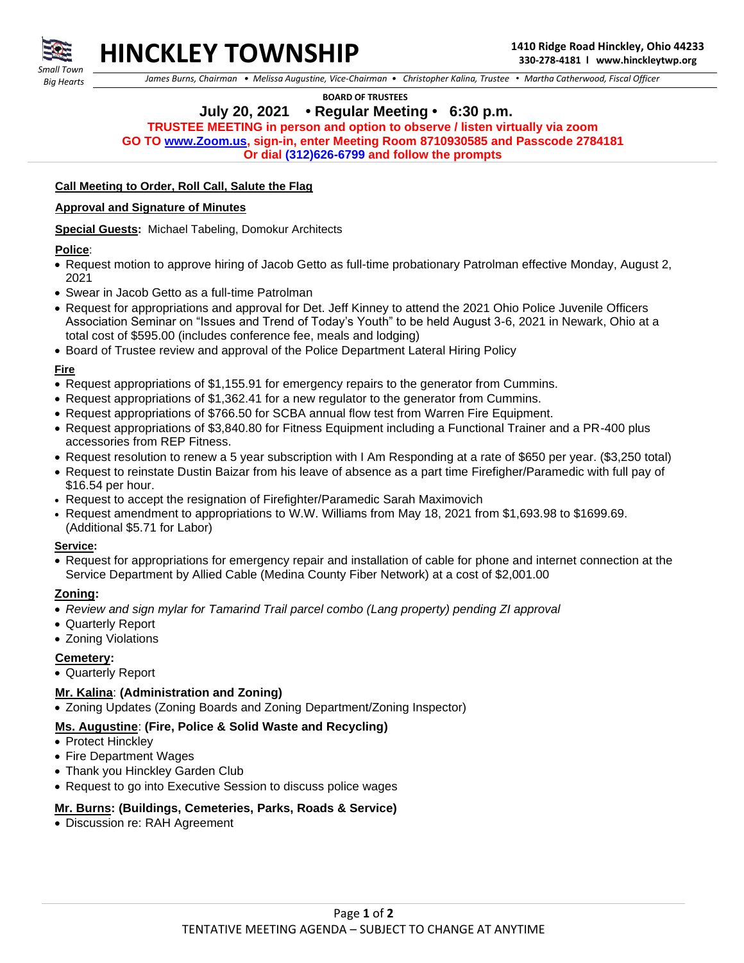

**HINCKLEY TOWNSHIP 1410 Ridge Road Hinckley, Ohio 44233**

 *Big Hearts*

 *James Burns, Chairman • Melissa Augustine, Vice-Chairman • Christopher Kalina, Trustee • Martha Catherwood, Fiscal Officer*

 **BOARD OF TRUSTEES**

## **July 20, 2021 • Regular Meeting • 6:30 p.m.**

**TRUSTEE MEETING in person and option to observe / listen virtually via zoom**

**GO TO [www.Zoom.us,](http://www.zoom.us/) sign-in, enter Meeting Room 8710930585 and Passcode 2784181**

**Or dial (312)626-6799 and follow the prompts**

## **Call Meeting to Order, Roll Call, Salute the Flag**

#### **Approval and Signature of Minutes**

**Special Guests:** Michael Tabeling, Domokur Architects

#### **Police**:

- Request motion to approve hiring of Jacob Getto as full-time probationary Patrolman effective Monday, August 2, 2021
- Swear in Jacob Getto as a full-time Patrolman
- Request for appropriations and approval for Det. Jeff Kinney to attend the 2021 Ohio Police Juvenile Officers Association Seminar on "Issues and Trend of Today's Youth" to be held August 3-6, 2021 in Newark, Ohio at a total cost of \$595.00 (includes conference fee, meals and lodging)
- Board of Trustee review and approval of the Police Department Lateral Hiring Policy

## **Fire**

- Request appropriations of \$1,155.91 for emergency repairs to the generator from Cummins.
- Request appropriations of \$1,362.41 for a new regulator to the generator from Cummins.
- Request appropriations of \$766.50 for SCBA annual flow test from Warren Fire Equipment.
- Request appropriations of \$3,840.80 for Fitness Equipment including a Functional Trainer and a PR-400 plus accessories from REP Fitness.
- Request resolution to renew a 5 year subscription with I Am Responding at a rate of \$650 per year. (\$3,250 total)
- Request to reinstate Dustin Baizar from his leave of absence as a part time Firefigher/Paramedic with full pay of \$16.54 per hour.
- Request to accept the resignation of Firefighter/Paramedic Sarah Maximovich
- Request amendment to appropriations to W.W. Williams from May 18, 2021 from \$1,693.98 to \$1699.69. (Additional \$5.71 for Labor)

#### **Service:**

• Request for appropriations for emergency repair and installation of cable for phone and internet connection at the Service Department by Allied Cable (Medina County Fiber Network) at a cost of \$2,001.00

#### **Zoning:**

- *Review and sign mylar for Tamarind Trail parcel combo (Lang property) pending ZI approval*
- Quarterly Report
- Zoning Violations

#### **Cemetery:**

• Quarterly Report

#### **Mr. Kalina**: **(Administration and Zoning)**

• Zoning Updates (Zoning Boards and Zoning Department/Zoning Inspector)

#### **Ms. Augustine**: **(Fire, Police & Solid Waste and Recycling)**

- Protect Hinckley
- Fire Department Wages
- Thank you Hinckley Garden Club
- Request to go into Executive Session to discuss police wages

## **Mr. Burns: (Buildings, Cemeteries, Parks, Roads & Service)**

• Discussion re: RAH Agreement